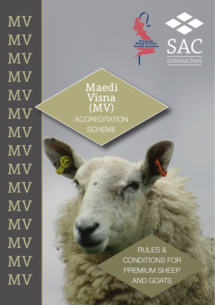MV MV MV MV  $\overline{\text{MV}}$ MV MV MV MV MV MV MV MV MV MV





Maedi Visna (MV) **ACCREDITATION SCHEME** 

> RULES & CONDITIONS FOR PREMIUM SHEEP AND GOATS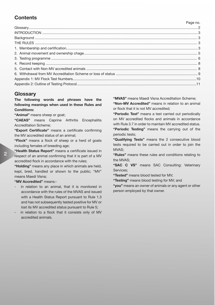# **Contents**

## Page no.

# **Glossary**

**The following words and phrases have the following meanings when used in these Rules and Conditions:**

**"Animal"** means sheep or goat;

**"CAEAS"** means Caprine Arthritis Encephalitis Accreditation Scheme;

**"Export Certificate"** means a certificate confirming the MV accredited status of an animal;

**"Flock"** means a flock of sheep or a herd of goats including females of breeding age;

**"Health Status Report"** means a certificate issued in respect of an animal confirming that it is part of a MV accredited flock in accordance with the rules;

**"Holding"** means any place in which animals are held, kept, bred, handled or shown to the public; "MV" means Maedi Visna;

# **"MV Accredited"** means:-

- in relation to an animal, that it is monitored in accordance with the rules of the MVAS and issued with a Health Status Report pursuant to Rule 1.3 and has not subsequently tested positive for MV or lost its MV accredited status pursuant to Rule 5;
- in relation to a flock that it consists only of MV accredited animals.

**"MVAS"** means Maedi Visna Accreditation Scheme; **"Non-MV Accredited"** means in relation to an animal or flock that it is not MV accredited;

**"Periodic Test"** means a test carried out periodically on MV accredited flocks and animals in accordance with Rule 3.7 in order to maintain MV accredited status. **"Periodic Testing"** means the carrying out of the periodic tests;

**"Qualifying Tests"** means the 2 consecutive blood tests required to be carried out in order to join the MVAS;

**"Rules"** means these rules and conditions relating to the MVAS;

**"SAC C VS"** means SAC Consulting: Veterinary Services:

**"Tested"** means blood tested for MV;

**"Testing"** means blood testing for MV; and

**"you"** means an owner of animals or any agent or other person employed by that owner.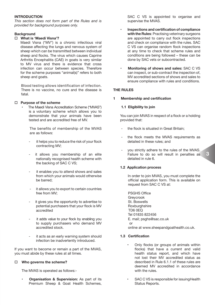## **INTRODUCTION**

*This section does not form part of the Rules and is provided for background purposes only.*

## **Background**

## o **What is 'Maedi Visna'?**

 Maedi Visna ("MV") is a chronic infectious viral disease affecting the lungs and nervous system of sheep which can be transmitted between individual sheep and flocks. The virus which causes Caprine Arthritis Encephalitis (CAE) in goats is very similar to MV virus and there is evidence that cross infection can occur between species. Therefore for the scheme purposes "animal(s)" refers to both sheep and goats.

 Blood testing allows identification of infection. There is no vaccine, no cure and the disease is fatal.

## □ **Purpose of the scheme**

• The Maedi Visna Accreditation Scheme ("MVAS") is a voluntary scheme which allows you to demonstrate that your animals have been tested and are accredited free of MV.

 The benefits of membership of the MVAS are as follows:

- it helps you to reduce the risk of your flock contracting MV;
- it allows you membership of an elite nationally recognised health scheme with the backing of SAC C VS;
- it enables you to attend shows and sales from which your animals would otherwise be barred;
- it allows you to export to certain countries free from MV;
- it gives you the opportunity to advertise to potential purchasers that your flock is MV accredited
- it adds value to your flock by enabling you to supply purchasers who demand MV accredited stock.
- it acts as an early warning system should infection be inadvertently introduced.

If you want to become or remain a part of the MVAS, you must abide by these rules at all times.

## □ Who governs the scheme?

The MVAS is operated as follows:-

• **Organisation & Supervision:** As part of its Premium Sheep & Goat Health Schemes,

SAC C VS is appointed to organise and supervise the MVAS.

- **Inspections and certification of compliance with the Rules**: Practising veterinary surgeons are appointed to carry out flock inspections and check on compliance with the rules. SAC C VS can organise random flock inspections at any time to check that scheme rules and conditions are being followed – these can be done by SAC vets or subcontracted.
- **Monitoring of shows and sales:** SAC C VS can inspect, or sub-contract the inspection of, MV accredited sections of shows and sales to ensure compliance with rules and conditions.

# **THE RULES**

#### **1 Membership and certification**

#### **1.1 Eligibility to join**

 You can join MVAS in respect of a flock or a holding provided that:

- the flock is situated in Great Britain;
- the flock meets the MVAS requirements as detailed in these rules; and
- you strictly adhere to the rules of the MVAS. Failure to do so will result in penalties as detailed in rule 6.

## **1.2 Application process**

 In order to join MVAS, you must complete the official application form. This is available on request from SAC C VS at:

 PSGHS Office Greycrook St. Boswells **Roxburghshire**  TD6 0EQ Tel 01835 822456 E. mail; psghs@sac.co.uk **or** 

online at www.sheepandgoathealth.co.uk.

## **1.3 Certification**

- Only flocks (or groups of animals within flocks) that have a current and valid health status report, and which have not lost their MV accredited status as described in Rule 6.1.1 of these rules are deemed MV accredited in accordance with the rules.
- SAC C VS is responsible for issuing Health Status Reports.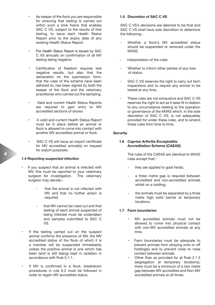- As keeper of the flock you are responsible for ensuring that testing is carried out within such a time frame that enables SAC C VS, subject to the results of that testing, to issue each Health Status Report prior to the expiry date of any existing Health Status Report.
- The Health Status Report is issued by SAC C VS annually on confirmation of all MV testing being negative.
- Certification of freedom requires test negative results, but also that the declaration on the submission form, that the rules of the scheme have been adhered to, has been signed by both the keeper of the flock and the veterinary practitioner who carried out the sampling.
- Valid and current Health Status Reports are required to gain entry to MV accredited sections of shows
- A valid and current Health Status Report must be in place before an animal or flock is allowed to come into contact with another MV accredited animal or flock.
- SAC C VS will issue an export certificate for MV accredited animal(s) on request for export purposes.

#### **1.4 Reporting suspected infection**

- If you suspect that an animal is infected with MV, this must be reported to your veterinary surgeon for investigation. The veterinary surgeon may decide:-
	- that the animal is not infected with MV and that no further action is required.
	- that MV cannot be ruled out and that testing of each animal suspected of being infected must be undertaken and samples submitted to SAC C VS.
- If the testing carried out on the suspect animal confirms the presence of MV, the MV accredited status of the flock of which it is a member will be suspended immediately unless the positive animal is one which has been (and is still being) kept in isolation in accordance with Rule 5.1.1.
- If MV is confirmed in a flock, breakdown procedures in rule 6.2 must be followed in order to regain MV accredited status.

#### **1.5 Discretion of SAC C VS**

SAC C VS's decisions are deemed to be final and SAC C VS shall have sole discretion to determine the following:-

- Whether a flock's MV accredited status should be suspended or removed under the MVAS;
- Interpretation of the rules
- Whether to inform other parties of any loss of status.
- SAC C VS reserves the right to carry out farm inspections and to require any animal to be tested at any time.
- These rules are not exhaustive and SAC C VS reserves the right to act as it sees fit in relation to any circumstance relating to the operation or governance of the MVAS which, in the sole discretion of SAC C VS, is not adequately provided for under these rules, and to amend these rules from time to time.

#### **Security**

## **1.6 Caprine Arthritis Encephalitis Accreditation Scheme (CAEAS)**

 The rules of the CAEAS are identical to MVAS rules except that:-

- they are applied to goat herds;
- a three metre gap is required between accredited and non-accredited animals whilst on a holding;
- the animals must be separated by a three metre high solid barrier at temporary locations.

#### **1.7 Farm boundaries**

- MV accredited animals must not be allowed to come into physical contact with non-MV accredited animals at any time.
- Farm boundaries must be adequate to prevent animals from straying onto or off holding(s) and to prevent nose to nose contact between animals.
- Other than as provided for at Rule 2.1.3 (segregation at temporary locations), there must be a minimum of a two metre gap between MV accredited and Non-MV accredited animals at all times.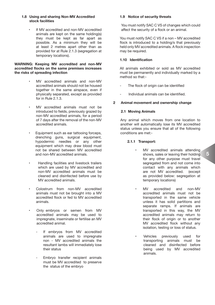### **1.8 Using and sharing Non-MV Accredited stock facilities**

If MV accredited and non-MV accredited animals are kept on the same holding(s) they must be kept as far apart as possible. As a minimum they will be at least 2 metres apart other than as provided for at Rule 2.1.3 (segregation at temporary locations).

#### **WARNING: Keeping MV accredited and non-MV accredited flocks on the same premises increases the risks of spreading infection**

- MV accredited animals and non-MV accredited animals should not be housed together in the same airspace, even if physically separated, except as provided for in Rule 2.1.3.
- MV accredited animals must not be introduced to fields, previously grazed by non-MV accredited animals, for a period of 7 days after the removal of the non-MV accredited animals.
- Equipment such as ear tattooing forceps. drenching guns, surgical equipment, hypodermic needles or any other equipment which may draw blood must not be shared between MV accredited and non-MV accredited animals.
- Handling facilities and livestock trailers which are used by MV accredited and non-MV accredited animals must be cleaned and disinfected before use by MV accredited animals.
- Colostrum from non-MV accredited animals must not be brought into a MV accredited flock or fed to MV accredited animals.
- Only embryos or semen from MV accredited animals may be used to impregnate, inseminate or fertilise an MV accredited animal.
	- If embryos from MV accredited animals are used to impregnate non - MV accredited animals the resultant lambs will immediately lose their status
	- Embryo transfer recipient animals must be MV accredited to preserve the status of the embryo

## **1.9 Notice of security threats**

 You must notify SAC C VS of changes which could affect the security of a flock or an animal.

You must notify SAC C VS if a non – MV accredited flock is introduced to a holding/s that previously held only MV accredited animals. A flock inspection may be required.

# **1.10 Identification**

 All animals exhibited or sold as MV accredited must be permanently and individually marked by a method so that:-

- The flock of origin can be identified
- Individual animals can be identified.

### **2 Animal movement and ownership change**

#### **2.1 Moving Animals**

Any animal which moves from one location to another will automatically lose its MV accredited status unless you ensure that all of the following conditions are met:-

# **2.1.1 Transport:**

- MV accredited animals attending shows, sales or leaving their holding for any other purpose must travel segregated from and not come into contact with any animals which are not MV accredited. (except as provided below: segregation at temporary locations)
- MV accredited and non-MV accredited animals must not be transported in the same vehicle unless it has solid partitions and separate ramps. If animals are transported in this way, the MV accredited animals may return to their flock of origin or to another MV accredited flock without any isolation, testing or loss of status.
- Vehicles previously used for transporting animals must be cleaned and disinfected before being used by MV accredited animals.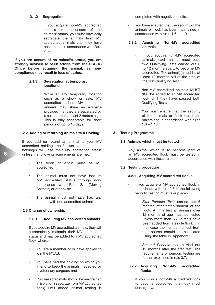#### **2.1.2 Segregation:**

If you acquire non-MV accredited animals or are unsure of the animals' status, you must physically segregate the animals from MV accredited animals until they have been tested in accordance with Rule 2.3.2.

**If you are unsure of an animal's status, you are strongly advised to seek advice from the PSGHS Office before acquiring the animal, as noncompliance may result in loss of status.**

#### **2.1.3 Segregation at temporary locations:**

While at any temporary location such as a show or sale, MV accredited and non-MV accredited animals may share an airspace provided that they are separated by a solid barrier at least 2 metres high. This is only acceptable for short periods of up to 10 days.

#### **2.2 Adding or returning Animals to a Holding**

If you add (or return) an animal to your MV accredited holding, the flock(s) situated at that holding/s will lose their MV accredited status unless the following requirements are met:

- The flock of origin must be MV accredited.
- The animal must not have lost its MV accredited status through noncompliance with Rule 2.1 (Moving Animals) or otherwise.
- The animal must not have had any contact with non accredited animals.

## **2.3 Change of ownership**

## **2.3.1 Acquiring MV accredited animals.**

 If you acquire MV accredited animals, they will automatically maintain their MV accredited status and may be added to a MV accredited flock where:-

- You are a member of or have applied to ioin the MVAS:
- You have had the holding on which you intend to keep the animals inspected by a veterinary surgeon; and
- Purchased animals should be maintained in isolation ( separate from MV accredited flock) until added animal testing is

completed with negative results.

You have ensured that the security of the animals or flock has been maintained in accordance with rules 1.6 - 1.10.

## **2.3.2 Acquiring Non-MV accredited animals**

- If you acquire non-MV accredited animals, each animal must pass two Qualifying Tests carried out 6 to 12 months apart, to become MV accredited. The animal(s) must be at least 12 months old at the time of the first Qualifying Test.
- Non-MV accredited animals MUST NOT be added to an MV accredited flock until they have passed both Qualifying Tests.
- You must ensure that the security of the animals or flock has been maintained in accordance with rules  $1.6 - 1.10$

## **3 Testing Programme**

## **3.1 Animals which must be tested**

 Any animal which is to become part of an MV accredited flock must be tested in accordance with these rules.

## **3.2 Testing procedure**

#### **3.2.1 Acquiring MV accredited flocks**

- If you acquire a MV accredited flock in accordance with rule 2.3.1, the following periodic testing must take place:-
	- *First Periodic Test:* carried out 6 months after establishment of the flock. At this test all animals over 12 months of age must be tested unless more than 55 Animals have been added from a single flock. In that case the number to test from that source should be calculated using the table in Appendix 1.
	- Second Periodic test: carried out 12 months after the first test. The requirements of periodic testing are further explained in rule 3.7.

#### **3.2.2 Acquiring Non-MV accredited flocks**

If you wish a non-MV accredited flock to become accredited, the flock must undergo two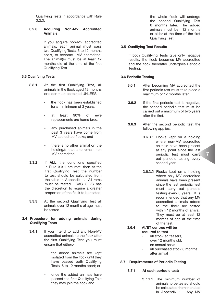Qualifying Tests in accordance with Rule 2.3.2.

## **3.2.3 Acquiring Non-MV Accredited Animals**

 If you acquire non-MV accredited animals, each animal must pass two Qualifying Tests, 6 to 12 months apart, to become MV accredited. The animal(s) must be at least 12 months old at the time of the first Qualifying Test.

## **3.3 Qualifying Tests**

- **3.3.1** At the first Qualifying Test, all animals in the flock aged 12 months or older must be tested UNI FSS:
	- the flock has been established for a minimum of 3 years;
	- at least 90% of ewe replacements are home bred;
	- any purchased animals in the past 3 years have come from MV accredited flocks; and
	- there is no other animal on the holding/s that is to remain non MV accredited.
- **3.3.2** If **ALL** the conditions specified in Rule 3.3.1 are met, then at the first Qualifying Test the number to test should be calculated from the table in Appendix 1. All rams must be tested. SAC C VS has the discretion to require a greater proportion of the flock to be tested.
- **3.3.3** At the second Qualifying Test all animals over 12 months of age must be tested.

#### **3.4 Procedure for adding animals during Qualifying Tests**

- **3.4.1** If you intend to add any Non-MV accredited animals to the flock after the first Qualifying Test you must ensure that either:
	- the added animals are kept isolated from the flock until they have passed both Qualifying Tests, 6 to 12 months apart; or
	- once the added animals have passed the first Qualifying Test they may join the flock and

the whole flock will undergo the second Qualifying Test 6 months later. The added animals must be 12 months or older at the time of the first Qualifying Test.

# **3.5 Qualifying Test Results**

If both Qualifying Tests give only negative results, the flock becomes MV accredited and the flock thereafter undergoes Periodic Testing.

## **3.6 Periodic Testing**

- **3.6.1** After becoming MV accredited the first periodic test must take place a maximum of 12 months later.
- **3.6.2** If the first periodic test is negative, the second periodic test must be carried out a maximum of two years after the first.
- **3.6.3** After the second periodic test the following applies:
	- 3.6.3.1 Flocks kept on a holding where non-MV accredited animals have been present at any point since the last periodic test must carry out periodic testing every second year.

**7**

3.6.3.2 Flocks kept on a holding where only MV accredited animals have been present since the last periodic test must carry out periodic testing every 3 years. It is recommended that any MV accredited animals added to the flock are tested within 12 months of arrival. They must be at least 12 months of age at the time of the test.

# **3.6.4 AI/ET centres will be required to test**

- · All stock eg teasers, over 12 months old, on annual basis
- All purchased stock 6 months after arrival

## **3.7 Requirements of Periodic Testing**

#### **3.7.1 At each periodic test:-**

 3.7.1.1 The minimum number of animals to be tested should be calculated from the table in Appendix 1. Any MV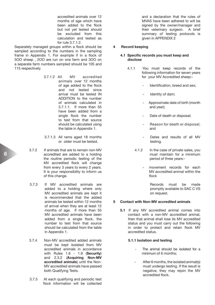accredited animals over 12 months of age which have been added to the flock but not yet tested should be excluded from this calculation and tested as for rule 3.7.1.2.

Separately managed groups within a flock should be sampled according to the numbers in the sampling frame in Appendix 1. For example if in a flock of 5OO sheep , 2OO are run on one farm and 3OO on a separate farm numbers sampled should be 105 and 115 respectively.

- 3.7.1.2 All MV accredited animals over 12 months of age added to the flock and not tested since arrival must be tested IN ADDITION to the number of animals calculated in 3.7.1.1. If more than 55 have been added from a single flock the number to test from that source should be calculated using the table in Appendix 1.
- 3.7.1.3 All rams aged 18 months or older must be tested.
- 3.7.2 If animals that are to remain non-MV accredited are added to a holding the routine periodic testing of the MV accredited flock will change from every 3 years to every 2 years. It is your responsibility to inform us of this change.
- 3.7.3 If MV accredited animals are added to a holding where only MV accredited animals are kept it is recommended that the added animals be tested within 12 months of arrival when they are at least 12 months of age. If more than 55 MV accredited animals have been added from a single flock, the number to test from that source should be calculated from the table in Appendix 1.
- 3.7.4 Non-MV accredited added animals must be kept isolated from MV accredited animals in accordance with Rules 1.6 - 1.9 (**Security**) and 2.3.2 (**Acquiring Non-MV accredited animals**) until the Non-MV accredited animals have passed both Qualifying Tests.
- 3.7.5 At each qualifying and periodic test flock information will be collected

and a declaration that the rules of MVAS have been adhered to will be signed by the owner/manager and their veterinary surgeon. A brief summary of testing protocols is given in APPENDIX 2

# **4 Record keeping**

#### **4.1 Specific records you must keep and disclose**

- 4.1.1 You must keep records of the following information for seven years for your MV Accredited sheep:-
	- Identification, breed and sex;
	- Identity of dam;
	- Approximate date of birth (month and year);
	- Date of death or disposal;
	- Reason for death or disposal; and
	- Dates and results of all MV testing.
	- 4.1.2 In the case of private sales, you must maintain for a minimum period of three years:
		- movement records for each MV accredited animal within the flock

Records must be made promptly available to SAC C VS on request.

#### **5 Contact with Non-MV accredited animals**

 **5.1** If any MV accredited animal comes into contact with a non-MV accredited animal, then that animal shall lose its MV accredited status and you must carry out the following in order to protect and retain flock MV accredited status.

## **5.1.1 Isolation and testing**

- The animal should be isolated for a minimum of 6 months;
- After 6 months, the isolated animal(s) must undergo testing. If the result is negative, they may rejoin the MV accredited flock.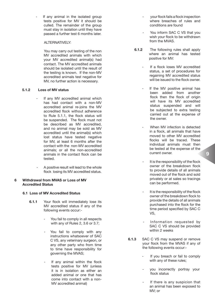If any animal in the isolated group tests positive for MV it should be culled. The remainder of the group must stay in isolation until they have passed a further test 6 months later.

## ALTERNATIVELY<sup>.</sup>

 You may carry out testing of the non MV accredited animals with which your MV accredited animal(s) had contact. The MV accredited animals should be isolated until the result of the testing is known. If the non-MV accredited animals test negative for MV, no further action is necessary.

# **5.1.2 Loss of MV status**

- If any MV accredited animal which has had contact with a non-MV accredited animal re-joins the MV accredited flock without adherence to Rule 5.1.1, the flock status will be suspended. The flock must not be described as MV accredited, and no animal may be sold as MV accredited until the animal(s) which lost status have tested negative for MV, at least 6 months after the contact with the non-MV accredited animals; or all the non-accredited animals in the contact flock can be tested.
- A positive result will lead to the whole flock losing its MV accredited status.

## **6 Withdrawal from MVAS or Loss of MV Accredited Status**

#### **6.1 Loss of MV Accredited Status**

- **6.1.1** Your flock will immediately lose its MV accredited status if any of the following events occur:-
	- You fail to comply in all respects with any of Rules 2, 3.6 or 3.7;
	- You fail to comply with any instructions whatsoever of SAC C VS, any veterinary surgeon, or any other party who from time to time have responsibility for governing the MVAS;
	- If any animal within the flock tests positive for MV (unless it is in isolation as either an added animal or one that has come into contact with a non-MV accredited animal)
- your flock fails a flock inspection where breaches of rules and conditions are found
- You inform SAC C VS that you wish your flock to be withdrawn from the MVAS.
- **6.1.2** The following rules shall apply where an animal has tested positive for MV:
	- If a flock loses MV accredited status, a set of procedures for regaining MV accredited status will be issued to the flock owner.
	- If the MV positive animal has been added from another flock then the flock of origin will have its MV accredited status suspended and will be subjected to extra testing carried out at the expense of the owner.
	- When MV infection is detected in a flock, all animals that have moved to other MV accredited flocks will be traced. These individual animals must then be tested at the expense of the current owner.
	- It is the responsibility of the flock owner of the breakdown flock to provide details of all animals moved out of the flock and sold privately or at sales so tracings can be performed.
	- It is the responsibility of the flock owner of the breakdown flock to provide the details of all animals purchased into the flock for the time period specified by SAC C VS,
	- Information requested by SAC C VS should be provided within 2 weeks
- **6.1.3** SAC C VS may suspend or remove your flock from the MVAS if any of the following events occur:-
	- If you breach or fail to comply with any of these rules;
	- you incorrectly portray your flock status
	- If there is any suspicion that an animal has been exposed to MV; or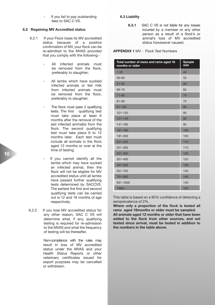If you fail to pay outstanding fees to SAC C VS.

#### **6.2 Regaining MV Accredited status**

- 6.2.1 If your Flock loses its MV accredited status because of a positive confirmation of MV, your flock can be re-admitted to the MVAS provided that you comply with the following:-
	- All infected animals must be removed from the flock, preferably to slaughter;
	- All lambs which have suckled infected animals or fed milk from infected animals must be removed from the flock. preferably to slaughter;
	- The flock must pass 2 qualifying tests. The first qualifying test must take place at least 6 months after the removal of the last infected animal(s) from the flock. The second qualifying test must take place 6 to 12 months later. Each test must include all animals in the flock aged 12 months or over at the time of testing.
	- If you cannot identify all the lambs which may have sucked an infected animal, then the flock will not be eligible for MV accredited status until all lambs have passed further qualifying tests determined by SACCVS. The earliest the first and second qualifying tests can be carried out is 12 and 18 months of age respectively.
- 6.2.2 If you lose MV accredited status for any other reason, SAC C VS will determine what, if any, qualifying testing is required for re-admission to the MVAS and what the frequency of testing will be thereafter.

 Non-compliance with the rules may result in loss of MV accredited status under the MVAS and your Health Status Reports or other veterinary certificates issued for export purposes may be cancelled or withdrawn.

## **6.3 Liability**

 **6.3.1** SAC C VS is not liable for any losses incurred by a member or any other person as a result of a flock's or animal's loss of MV accredited status howsoever caused.

#### **APPENDIX 1** MV - Flock Test Numbers

| Total number of ewes and rams aged 18<br>months or older | Sample<br>size |
|----------------------------------------------------------|----------------|
| $1 - 55$                                                 | All            |
| 56-60                                                    | 55             |
| $61 - 65$                                                | 60             |
| 66-70                                                    | 65             |
| $71 - 80$                                                | 70             |
| $81 - 90$                                                | 75             |
| $91 - 100$                                               | 80             |
| 101-120                                                  | 85             |
| 121-140                                                  | 90             |
| 141-160                                                  | 95             |
| 161-180                                                  | 100            |
| 181-200                                                  | 105            |
| 201-250                                                  | 110            |
| 251-300                                                  | 115            |
| 301-350                                                  | 120            |
| 351-400                                                  | 125            |
| 401-500                                                  | 130            |
| 501-700                                                  | 135            |
| 701-900                                                  | 140            |
| 901-1000                                                 | 145            |
| $1000+$                                                  | 150            |

This table is based on a 95% confidence of detecting a seroprevalence of 2%.

**Where only a proportion of the flock is tested all rams aged 18months or older must be sampled.**

**All animals aged 12 months or older that have been added to the flock from other sources, and not tested since arrival, must be tested in addition to the numbers in the table above.**

**10**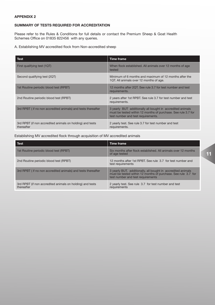## **APPENDIX 2**

# **SUMMARY OF TESTS REQUIRED FOR ACCREDITATION**

Please refer to the Rules & Conditions for full details or contact the Premium Sheep & Goat Health Schemes Office on 01835 822456 with any queries.

# A. Establishing MV accredited flock from Non-accredited sheep

| <b>Test</b>                                                             | <b>Time frame</b>                                                                                                                                                 |
|-------------------------------------------------------------------------|-------------------------------------------------------------------------------------------------------------------------------------------------------------------|
| First qualifying test (1QT)                                             | When flock established. All animals over 12 months of age<br>tested                                                                                               |
| Second qualifying test (2QT)                                            | Minimum of 6 months and maximum of 12 months after the<br>1QT. All animals over 12 months of age.                                                                 |
| 1st Routine periodic blood test (RPBT)                                  | 12 months after 2QT. See rule 3.7 for test number and test<br>requirements.                                                                                       |
| 2nd Routine periodic blood test (RPBT)                                  | 2 years after 1st RPBT. See rule 3.7 for test number and test<br>requirements.                                                                                    |
| 3rd RPBT (if no non accredited animals) and tests thereafter            | 3 yearly BUT additionally all bought in accredited animals<br>must be tested within 12 months of purchase. See rule 3.7 for<br>test number and test requirements. |
| 3rd RPBT (if non accredited animals on holding) and tests<br>thereafter | 2 yearly test. See rule 3.7 for test number and test<br>requirements.                                                                                             |

Establishing MV accredited flock through acquisition of MV accredited animals

| Test                                                                    | <b>Time frame</b>                                                                                                                                                  |
|-------------------------------------------------------------------------|--------------------------------------------------------------------------------------------------------------------------------------------------------------------|
| 1st Routine periodic blood test (RPBT)                                  | Six months after flock established. All animals over 12 months<br>of age tested                                                                                    |
| 2nd Routine periodic blood test (RPBT)                                  | 12 months after 1st RPBT. See rule 3.7 for test number and<br>test requirements                                                                                    |
| 3rd RPBT (if no non accredited animals) and tests thereafter            | 3 yearly BUT, additionally, all bought in accredited animals<br>must be tested within 12 months of purchase. See rule 3.7 for<br>test number and test requirements |
| 3rd RPBT (if non accredited animals on holding) and tests<br>thereafter | 2 yearly test. See rule 3.7 for test number and test<br>requirements                                                                                               |